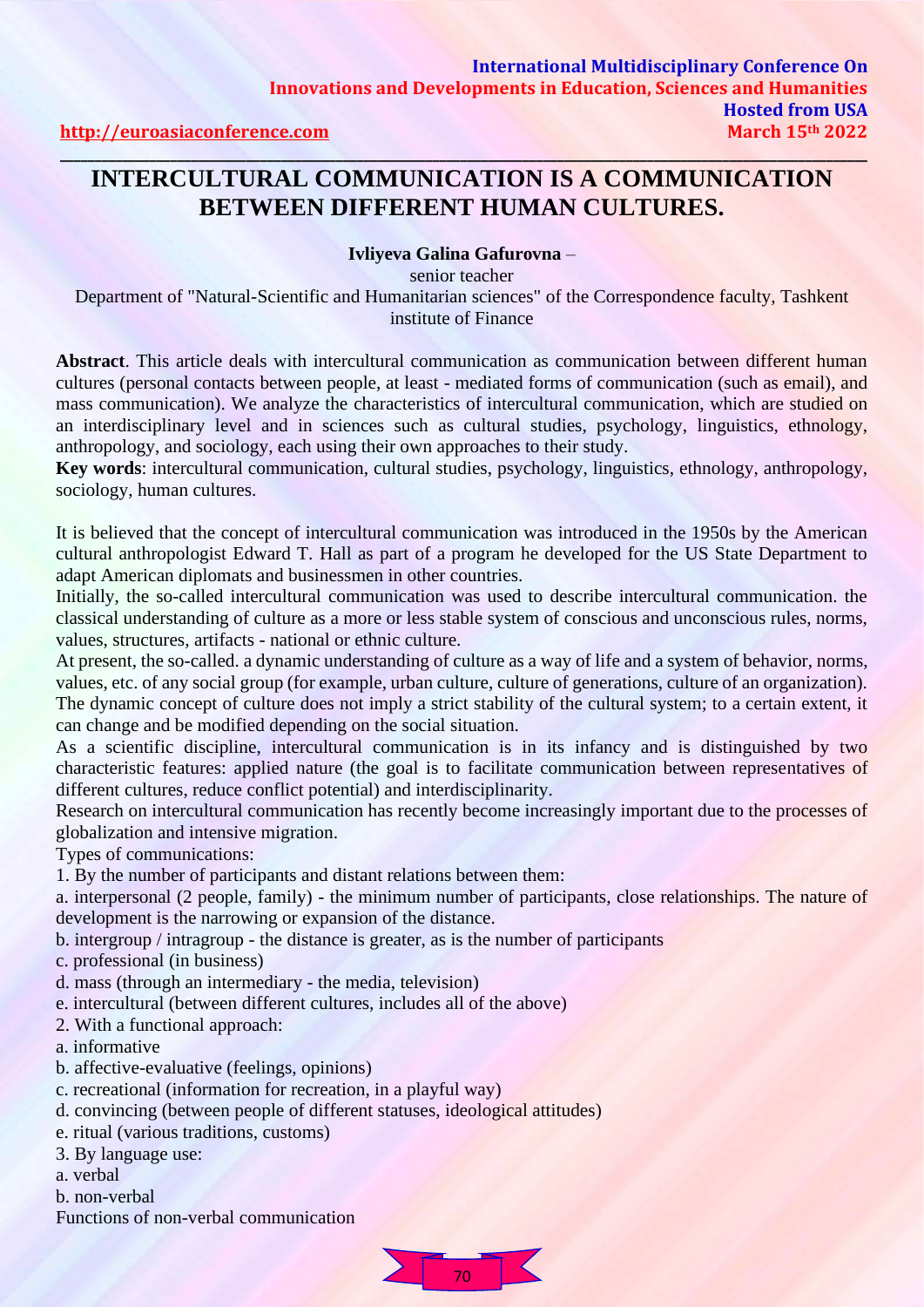## **INTERCULTURAL COMMUNICATION IS A COMMUNICATION BETWEEN DIFFERENT HUMAN CULTURES.**

#### **Ivliyeva Galina Gafurovna** –

senior teacher

Department of "Natural-Scientific and Humanitarian sciences" of the Correspondence faculty, Tashkent institute of Finance

**Abstract**. This article deals with intercultural communication as communication between different human cultures (personal contacts between people, at least - mediated forms of communication (such as email), and mass communication). We analyze the characteristics of intercultural communication, which are studied on an interdisciplinary level and in sciences such as cultural studies, psychology, linguistics, ethnology, anthropology, and sociology, each using their own approaches to their study.

**Key words**: intercultural communication, cultural studies, psychology, linguistics, ethnology, anthropology, sociology, human cultures.

It is believed that the concept of intercultural communication was introduced in the 1950s by the American cultural anthropologist Edward T. Hall as part of a program he developed for the US State Department to adapt American diplomats and businessmen in other countries.

Initially, the so-called intercultural communication was used to describe intercultural communication. the classical understanding of culture as a more or less stable system of conscious and unconscious rules, norms, values, structures, artifacts - national or ethnic culture.

At present, the so-called. a dynamic understanding of culture as a way of life and a system of behavior, norms, values, etc. of any social group (for example, urban culture, culture of generations, culture of an organization). The dynamic concept of culture does not imply a strict stability of the cultural system; to a certain extent, it can change and be modified depending on the social situation.

As a scientific discipline, intercultural communication is in its infancy and is distinguished by two characteristic features: applied nature (the goal is to facilitate communication between representatives of different cultures, reduce conflict potential) and interdisciplinarity.

Research on intercultural communication has recently become increasingly important due to the processes of globalization and intensive migration.

Types of communications:

1. By the number of participants and distant relations between them:

a. interpersonal (2 people, family) - the minimum number of participants, close relationships. The nature of development is the narrowing or expansion of the distance.

b. intergroup / intragroup - the distance is greater, as is the number of participants

- c. professional (in business)
- d. mass (through an intermediary the media, television)
- e. intercultural (between different cultures, includes all of the above)
- 2. With a functional approach:
- a. informative
- b. affective-evaluative (feelings, opinions)
- c. recreational (information for recreation, in a playful way)
- d. convincing (between people of different statuses, ideological attitudes)
- e. ritual (various traditions, customs)
- 3. By language use:
- a. verbal
- b. non-verbal
- Functions of non-verbal communication

70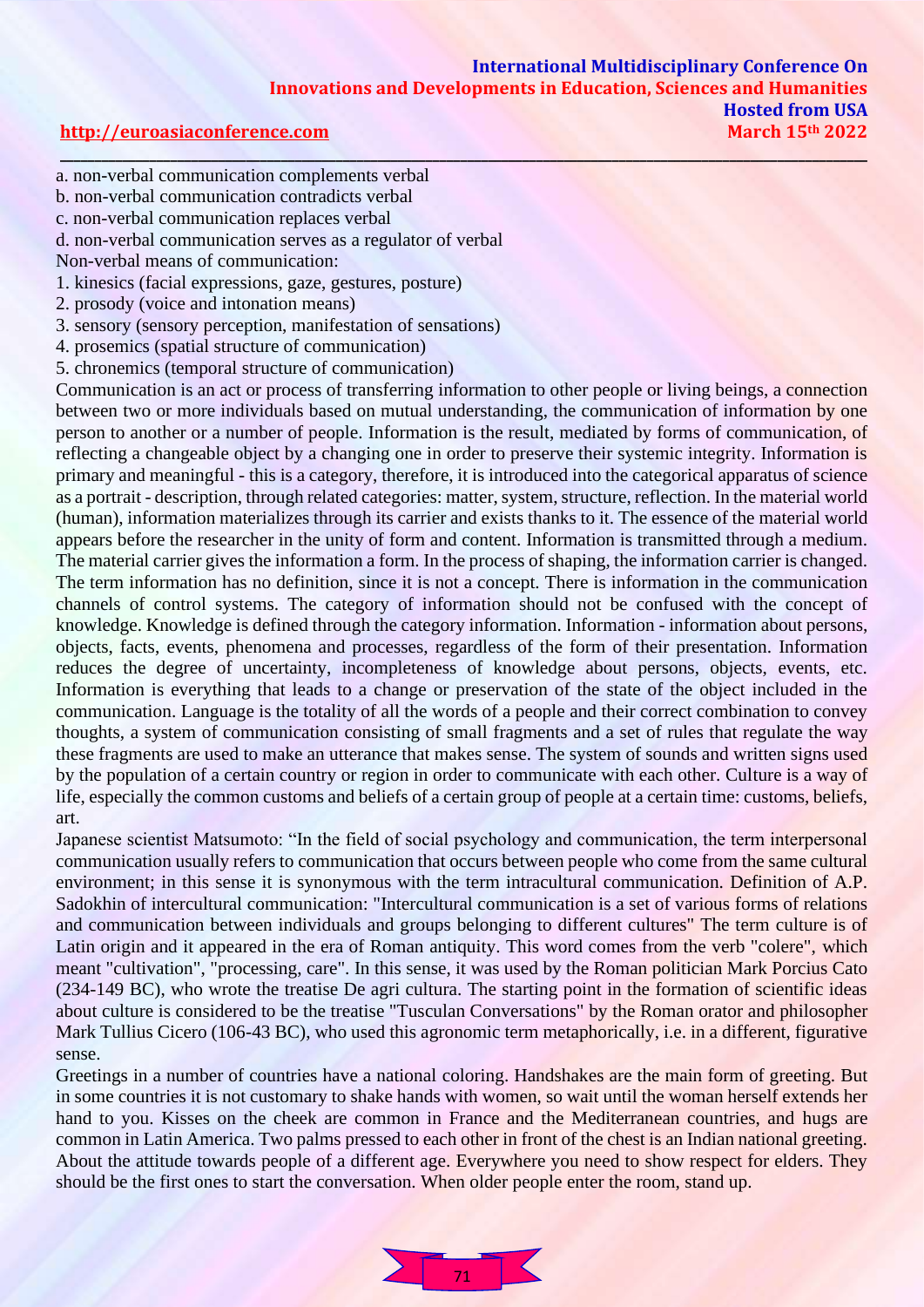- a. non-verbal communication complements verbal
- b. non-verbal communication contradicts verbal
- c. non-verbal communication replaces verbal
- d. non-verbal communication serves as a regulator of verbal
- Non-verbal means of communication:
- 1. kinesics (facial expressions, gaze, gestures, posture)
- 2. prosody (voice and intonation means)
- 3. sensory (sensory perception, manifestation of sensations)
- 4. prosemics (spatial structure of communication)
- 5. chronemics (temporal structure of communication)

Communication is an act or process of transferring information to other people or living beings, a connection between two or more individuals based on mutual understanding, the communication of information by one person to another or a number of people. Information is the result, mediated by forms of communication, of reflecting a changeable object by a changing one in order to preserve their systemic integrity. Information is primary and meaningful - this is a category, therefore, it is introduced into the categorical apparatus of science as a portrait - description, through related categories: matter, system, structure, reflection. In the material world (human), information materializes through its carrier and exists thanks to it. The essence of the material world appears before the researcher in the unity of form and content. Information is transmitted through a medium. The material carrier gives the information a form. In the process of shaping, the information carrier is changed. The term information has no definition, since it is not a concept. There is information in the communication channels of control systems. The category of information should not be confused with the concept of knowledge. Knowledge is defined through the category information. Information - information about persons, objects, facts, events, phenomena and processes, regardless of the form of their presentation. Information reduces the degree of uncertainty, incompleteness of knowledge about persons, objects, events, etc. Information is everything that leads to a change or preservation of the state of the object included in the communication. Language is the totality of all the words of a people and their correct combination to convey thoughts, a system of communication consisting of small fragments and a set of rules that regulate the way these fragments are used to make an utterance that makes sense. The system of sounds and written signs used by the population of a certain country or region in order to communicate with each other. Culture is a way of life, especially the common customs and beliefs of a certain group of people at a certain time: customs, beliefs, art.

Japanese scientist Matsumoto: "In the field of social psychology and communication, the term interpersonal communication usually refers to communication that occurs between people who come from the same cultural environment; in this sense it is synonymous with the term intracultural communication. Definition of A.P. Sadokhin of intercultural communication: "Intercultural communication is a set of various forms of relations and communication between individuals and groups belonging to different cultures" The term culture is of Latin origin and it appeared in the era of Roman antiquity. This word comes from the verb "colere", which meant "cultivation", "processing, care". In this sense, it was used by the Roman politician Mark Porcius Cato (234-149 BC), who wrote the treatise De agri cultura. The starting point in the formation of scientific ideas about culture is considered to be the treatise "Tusculan Conversations" by the Roman orator and philosopher Mark Tullius Cicero (106-43 BC), who used this agronomic term metaphorically, i.e. in a different, figurative sense.

Greetings in a number of countries have a national coloring. Handshakes are the main form of greeting. But in some countries it is not customary to shake hands with women, so wait until the woman herself extends her hand to you. Kisses on the cheek are common in France and the Mediterranean countries, and hugs are common in Latin America. Two palms pressed to each other in front of the chest is an Indian national greeting. About the attitude towards people of a different age. Everywhere you need to show respect for elders. They should be the first ones to start the conversation. When older people enter the room, stand up.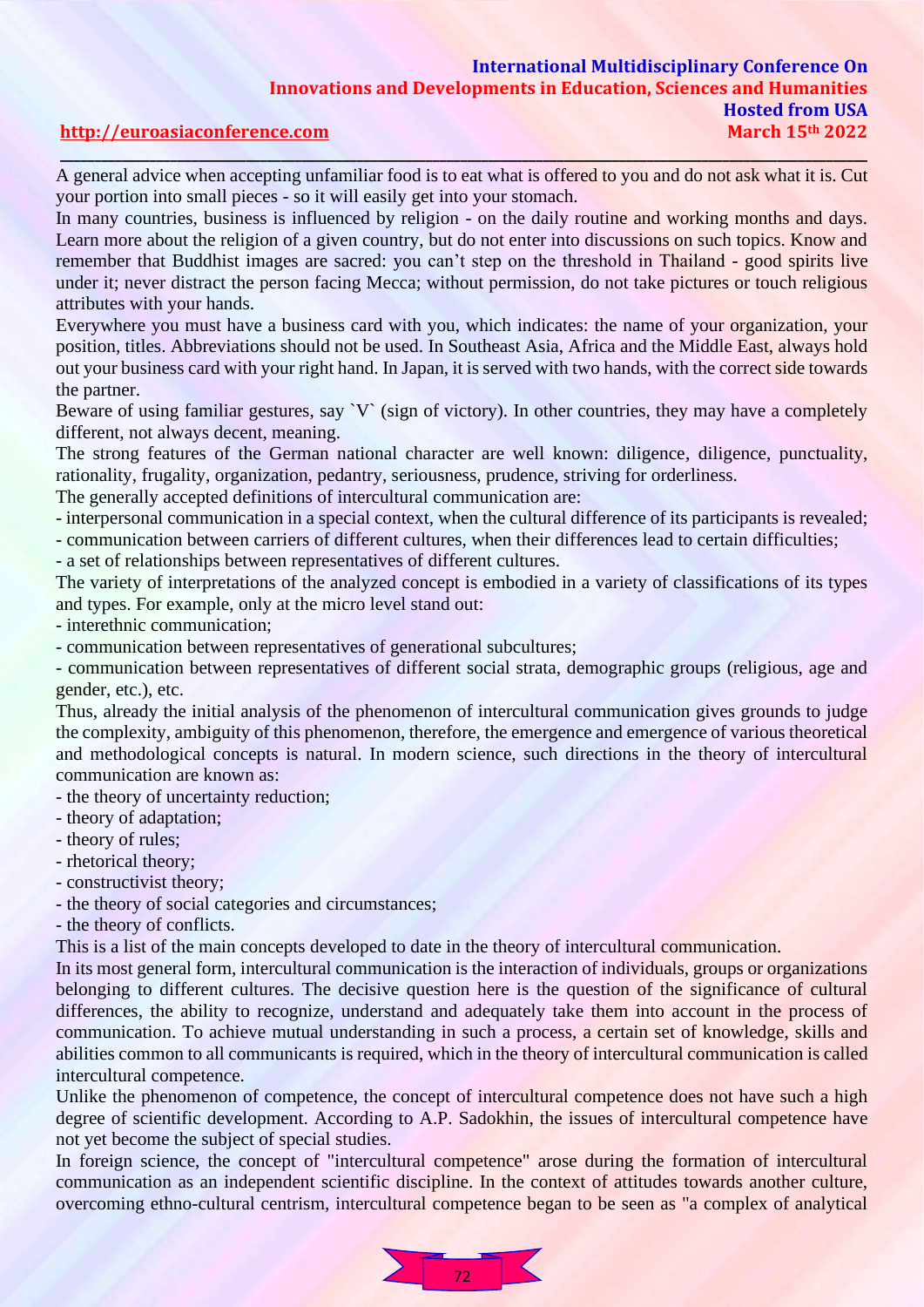### **International Multidisciplinary Conference On Innovations and Developments in Education, Sciences and Humanities Hosted from USA [http://euroasiaconference.com](http://euroasiaconference.com/) March 15th 2022**

# **\_\_\_\_\_\_\_\_\_\_\_\_\_\_\_\_\_\_\_\_\_\_\_\_\_\_\_\_\_\_\_\_\_\_\_\_\_\_\_\_\_\_\_\_\_\_\_\_\_\_\_\_\_\_\_\_\_\_\_\_\_\_\_\_\_\_\_\_\_\_\_\_\_\_\_\_\_\_\_\_\_\_\_\_\_\_\_\_\_\_\_\_\_\_\_\_\_\_\_\_\_\_\_\_\_\_\_\_\_\_\_\_\_\_\_\_\_**

A general advice when accepting unfamiliar food is to eat what is offered to you and do not ask what it is. Cut your portion into small pieces - so it will easily get into your stomach.

In many countries, business is influenced by religion - on the daily routine and working months and days. Learn more about the religion of a given country, but do not enter into discussions on such topics. Know and remember that Buddhist images are sacred: you can't step on the threshold in Thailand - good spirits live under it; never distract the person facing Mecca; without permission, do not take pictures or touch religious attributes with your hands.

Everywhere you must have a business card with you, which indicates: the name of your organization, your position, titles. Abbreviations should not be used. In Southeast Asia, Africa and the Middle East, always hold out your business card with your right hand. In Japan, it is served with two hands, with the correct side towards the partner.

Beware of using familiar gestures, say `V` (sign of victory). In other countries, they may have a completely different, not always decent, meaning.

The strong features of the German national character are well known: diligence, diligence, punctuality, rationality, frugality, organization, pedantry, seriousness, prudence, striving for orderliness.

The generally accepted definitions of intercultural communication are:

- interpersonal communication in a special context, when the cultural difference of its participants is revealed;

- communication between carriers of different cultures, when their differences lead to certain difficulties;

- a set of relationships between representatives of different cultures.

The variety of interpretations of the analyzed concept is embodied in a variety of classifications of its types and types. For example, only at the micro level stand out:

- interethnic communication;

- communication between representatives of generational subcultures;

- communication between representatives of different social strata, demographic groups (religious, age and gender, etc.), etc.

Thus, already the initial analysis of the phenomenon of intercultural communication gives grounds to judge the complexity, ambiguity of this phenomenon, therefore, the emergence and emergence of various theoretical and methodological concepts is natural. In modern science, such directions in the theory of intercultural communication are known as:

- the theory of uncertainty reduction;

- theory of adaptation;

- theory of rules;

- rhetorical theory;

- constructivist theory;

- the theory of social categories and circumstances;

- the theory of conflicts.

This is a list of the main concepts developed to date in the theory of intercultural communication.

In its most general form, intercultural communication is the interaction of individuals, groups or organizations belonging to different cultures. The decisive question here is the question of the significance of cultural differences, the ability to recognize, understand and adequately take them into account in the process of communication. To achieve mutual understanding in such a process, a certain set of knowledge, skills and abilities common to all communicants is required, which in the theory of intercultural communication is called intercultural competence.

Unlike the phenomenon of competence, the concept of intercultural competence does not have such a high degree of scientific development. According to A.P. Sadokhin, the issues of intercultural competence have not yet become the subject of special studies.

In foreign science, the concept of "intercultural competence" arose during the formation of intercultural communication as an independent scientific discipline. In the context of attitudes towards another culture, overcoming ethno-cultural centrism, intercultural competence began to be seen as "a complex of analytical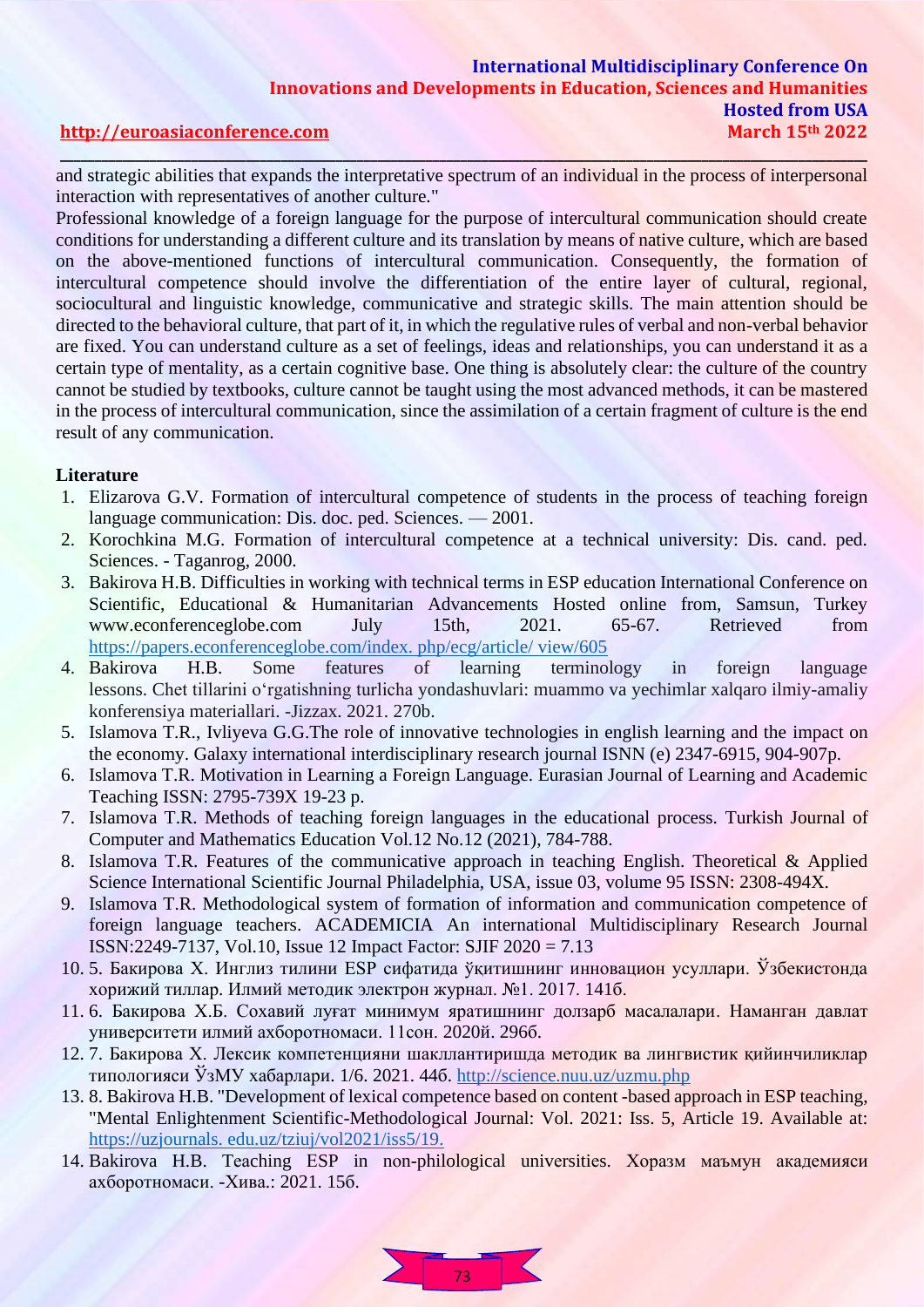### **International Multidisciplinary Conference On Innovations and Developments in Education, Sciences and Humanities Hosted from USA [http://euroasiaconference.com](http://euroasiaconference.com/) March 15th 2022 \_\_\_\_\_\_\_\_\_\_\_\_\_\_\_\_\_\_\_\_\_\_\_\_\_\_\_\_\_\_\_\_\_\_\_\_\_\_\_\_\_\_\_\_\_\_\_\_\_\_\_\_\_\_\_\_\_\_\_\_\_\_\_\_\_\_\_\_\_\_\_\_\_\_\_\_\_\_\_\_\_\_\_\_\_\_\_\_\_\_\_\_\_\_\_\_\_\_\_\_\_\_\_\_\_\_\_\_\_\_\_\_\_\_\_\_\_**

and strategic abilities that expands the interpretative spectrum of an individual in the process of interpersonal interaction with representatives of another culture."

Professional knowledge of a foreign language for the purpose of intercultural communication should create conditions for understanding a different culture and its translation by means of native culture, which are based on the above-mentioned functions of intercultural communication. Consequently, the formation of intercultural competence should involve the differentiation of the entire layer of cultural, regional, sociocultural and linguistic knowledge, communicative and strategic skills. The main attention should be directed to the behavioral culture, that part of it, in which the regulative rules of verbal and non-verbal behavior are fixed. You can understand culture as a set of feelings, ideas and relationships, you can understand it as a certain type of mentality, as a certain cognitive base. One thing is absolutely clear: the culture of the country cannot be studied by textbooks, culture cannot be taught using the most advanced methods, it can be mastered in the process of intercultural communication, since the assimilation of a certain fragment of culture is the end result of any communication.

#### **Literature**

- 1. Elizarova G.V. Formation of intercultural competence of students in the process of teaching foreign language communication: Dis. doc. ped. Sciences. — 2001.
- 2. Korochkina M.G. Formation of intercultural competence at a technical university: Dis. cand. ped. Sciences. - Taganrog, 2000.
- 3. Bakirova H.B. Difficulties in working with technical terms in ESP education International Conference on Scientific, Educational & Humanitarian Advancements Hosted online from, Samsun, Turkey www.econferenceglobe.com July 15th, 2021. 65-67. Retrieved from [https://papers.econferenceglobe.com/index. php/ecg/article/ view/605](https://papers.econferenceglobe.com/index.%20php/ecg/article/%20view/605)
- 4. Bakirova H.B. Some features of learning terminology in foreign language lessons. Chet tillarini o'rgatishning turlicha yondashuvlari: muammo va yechimlar xalqaro ilmiy-amaliy konferensiya materiallari. -Jizzax. 2021. 270b.
- 5. Islamova T.R., Ivliyeva G.G.The role of innovative technologies in english learning and the impact on the economy. Galaxy international interdisciplinary research journal ISNN (e) 2347-6915, 904-907p.
- 6. Islamova T.R. Motivation in Learning a Foreign Language. Eurasian Journal of Learning and Academic Teaching ISSN: 2795-739X 19-23 p.
- 7. Islamova T.R. Methods of teaching foreign languages in the educational process. Turkish Journal of Computer and Mathematics Education Vol.12 No.12 (2021), 784-788.
- 8. Islamova T.R. Features of the communicative approach in teaching English. Theoretical & Applied Science International Scientific Journal Philadelphia, USA, issue 03, volume 95 ISSN: 2308-494X.
- 9. Islamova T.R. Methodological system of formation of information and communication competence of foreign language teachers. ACADEMICIA An international Multidisciplinary Research Journal ISSN:2249-7137, Vol.10, Issue 12 Impact Factor: SJIF 2020 = 7.13
- 10. 5. Бакирова Х. Инглиз тилини ESP сифатида ўқитишнинг инновацион усуллари. Ўзбекистонда хорижий тиллар. Илмий методик электрон журнал. №1. 2017. 141б.
- 11. 6. Бакирова Х.Б. Сохавий луғат минимум яратишнинг долзарб масалалари. Наманган давлат университети илмий ахборотномаси. 11сон. 2020й. 296б.
- 12. 7. Бакирова Х. Лексик компетенцияни шакллантиришда методик ва лингвистик қийинчиликлар типологияси ЎзМУ хабарлари.  $1/6$ . 2021. 446.<http://science.nuu.uz/uzmu.php>
- 13. 8. Bakirova H.B. "Development of lexical competence based on content -based approach in ESP teaching, "Mental Enlightenment Scientific-Methodological Journal: Vol. 2021: Iss. 5, Article 19. Available at: https://uzjournals. edu.uz/tziuj/vol2021/iss5/19.
- 14. Bakirova H.B. Tеаching ЕSP in nоn-philological univеrsitiеs. Хоразм маъмун академияси ахборотномаси. -Хива.: 2021. 15б.